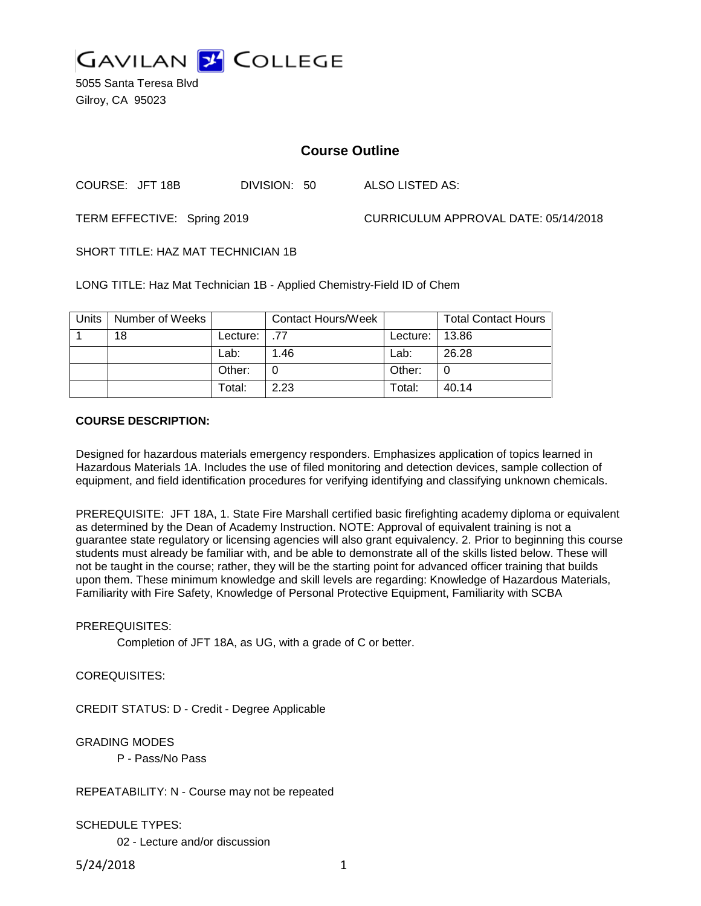

5055 Santa Teresa Blvd Gilroy, CA 95023

# **Course Outline**

COURSE: JFT 18B DIVISION: 50 ALSO LISTED AS:

TERM EFFECTIVE: Spring 2019 CURRICULUM APPROVAL DATE: 05/14/2018

SHORT TITLE: HAZ MAT TECHNICIAN 1B

LONG TITLE: Haz Mat Technician 1B - Applied Chemistry-Field ID of Chem

| Units | Number of Weeks |               | <b>Contact Hours/Week</b> |                  | <b>Total Contact Hours</b> |
|-------|-----------------|---------------|---------------------------|------------------|----------------------------|
|       | 18              | Lecture: 1.77 |                           | Lecture:   13.86 |                            |
|       |                 | Lab:          | 1.46                      | Lab:             | 26.28                      |
|       |                 | Other:        |                           | Other:           |                            |
|       |                 | Total:        | 2.23                      | Total:           | 40.14                      |

#### **COURSE DESCRIPTION:**

Designed for hazardous materials emergency responders. Emphasizes application of topics learned in Hazardous Materials 1A. Includes the use of filed monitoring and detection devices, sample collection of equipment, and field identification procedures for verifying identifying and classifying unknown chemicals.

PREREQUISITE: JFT 18A, 1. State Fire Marshall certified basic firefighting academy diploma or equivalent as determined by the Dean of Academy Instruction. NOTE: Approval of equivalent training is not a guarantee state regulatory or licensing agencies will also grant equivalency. 2. Prior to beginning this course students must already be familiar with, and be able to demonstrate all of the skills listed below. These will not be taught in the course; rather, they will be the starting point for advanced officer training that builds upon them. These minimum knowledge and skill levels are regarding: Knowledge of Hazardous Materials, Familiarity with Fire Safety, Knowledge of Personal Protective Equipment, Familiarity with SCBA

### PREREQUISITES:

Completion of JFT 18A, as UG, with a grade of C or better.

COREQUISITES:

CREDIT STATUS: D - Credit - Degree Applicable

GRADING MODES

P - Pass/No Pass

REPEATABILITY: N - Course may not be repeated

### SCHEDULE TYPES:

02 - Lecture and/or discussion

5/24/2018 1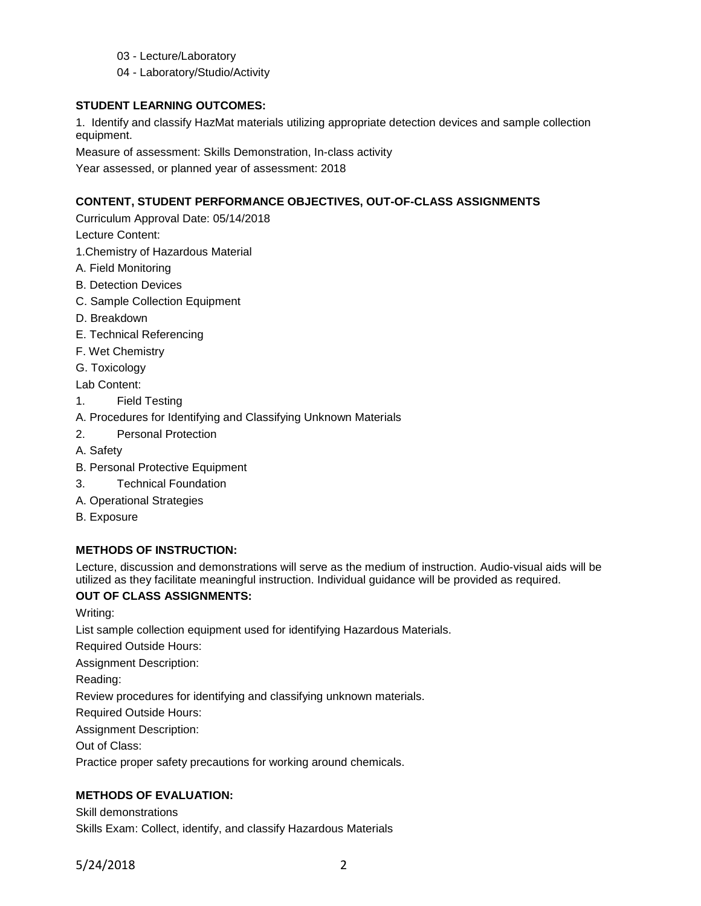- 03 Lecture/Laboratory
- 04 Laboratory/Studio/Activity

### **STUDENT LEARNING OUTCOMES:**

1. Identify and classify HazMat materials utilizing appropriate detection devices and sample collection equipment.

Measure of assessment: Skills Demonstration, In-class activity

Year assessed, or planned year of assessment: 2018

# **CONTENT, STUDENT PERFORMANCE OBJECTIVES, OUT-OF-CLASS ASSIGNMENTS**

Curriculum Approval Date: 05/14/2018

Lecture Content:

- 1.Chemistry of Hazardous Material
- A. Field Monitoring
- B. Detection Devices
- C. Sample Collection Equipment
- D. Breakdown
- E. Technical Referencing
- F. Wet Chemistry
- G. Toxicology

Lab Content:

- 1. Field Testing
- A. Procedures for Identifying and Classifying Unknown Materials
- 2. Personal Protection
- A. Safety
- B. Personal Protective Equipment
- 3. Technical Foundation
- A. Operational Strategies
- B. Exposure

### **METHODS OF INSTRUCTION:**

Lecture, discussion and demonstrations will serve as the medium of instruction. Audio-visual aids will be utilized as they facilitate meaningful instruction. Individual guidance will be provided as required.

# **OUT OF CLASS ASSIGNMENTS:**

Writing:

List sample collection equipment used for identifying Hazardous Materials.

Required Outside Hours:

Assignment Description:

Reading:

Review procedures for identifying and classifying unknown materials.

Required Outside Hours:

Assignment Description:

Out of Class:

Practice proper safety precautions for working around chemicals.

# **METHODS OF EVALUATION:**

Skill demonstrations

Skills Exam: Collect, identify, and classify Hazardous Materials

5/24/2018 2